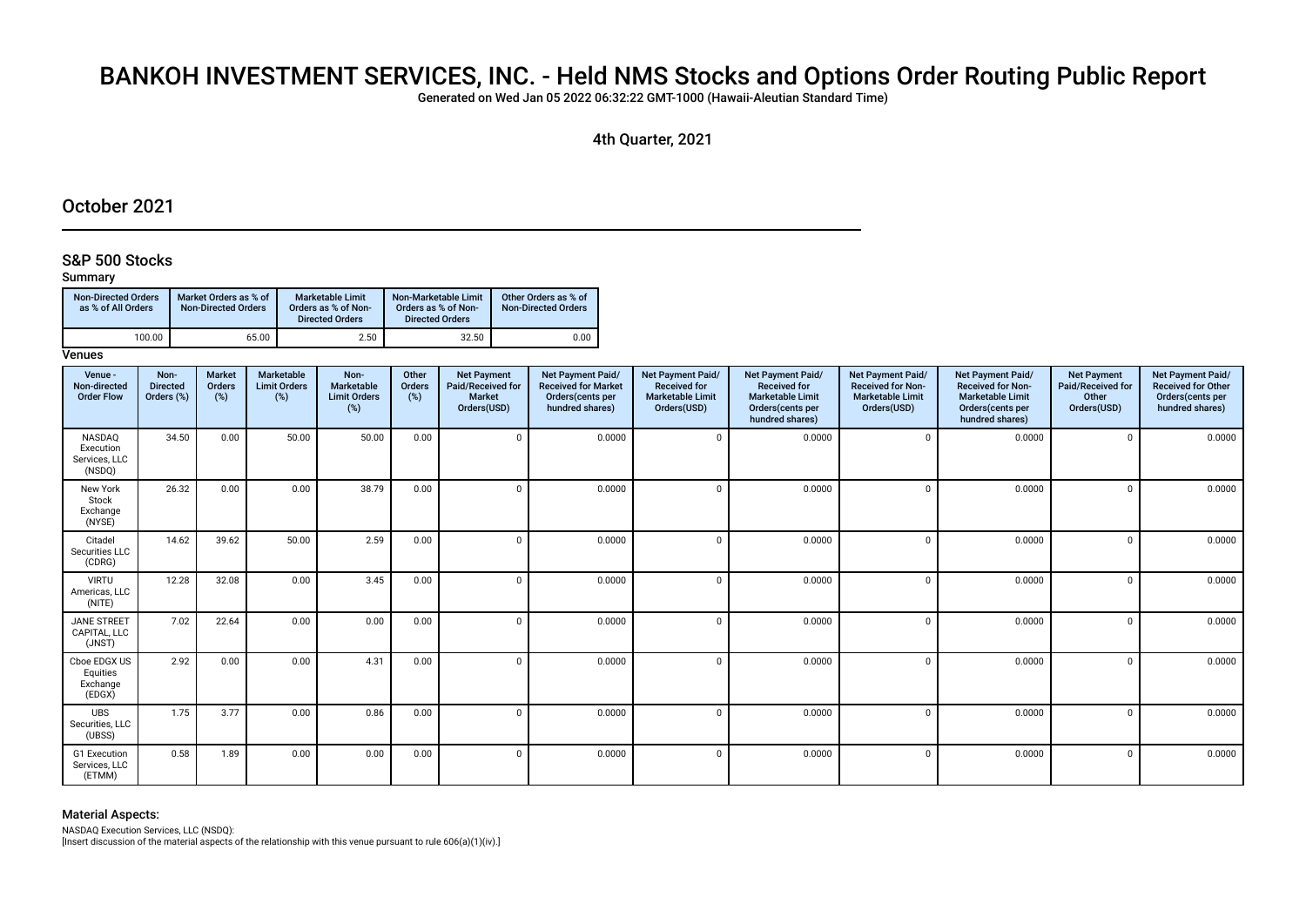# BANKOH INVESTMENT SERVICES, INC. - Held NMS Stocks and Options Order Routing Public Report

Generated on Wed Jan 05 2022 06:32:22 GMT-1000 (Hawaii-Aleutian Standard Time)

4th Quarter, 2021

# October 2021

### S&P 500 Stocks

#### Summary

| <b>Non-Directed Orders</b><br>as % of All Orders | Market Orders as % of<br><b>Non-Directed Orders</b> | Marketable Limit<br>Orders as % of Non-<br><b>Directed Orders</b> | Non-Marketable Limit<br>Orders as % of Non-<br><b>Directed Orders</b> | Other Orders as % of<br><b>Non-Directed Orders</b> |
|--------------------------------------------------|-----------------------------------------------------|-------------------------------------------------------------------|-----------------------------------------------------------------------|----------------------------------------------------|
| 100.00                                           | 65.00                                               | 2.50                                                              | 32.50                                                                 | 0.00                                               |

### **Venues**

| Venue -<br>Non-directed<br><b>Order Flow</b>   | Non-<br><b>Directed</b><br>Orders (%) | <b>Market</b><br>Orders<br>(%) | <b>Marketable</b><br><b>Limit Orders</b><br>(%) | Non-<br>Marketable<br><b>Limit Orders</b><br>$(\%)$ | Other<br>Orders<br>(%) | <b>Net Payment</b><br>Paid/Received for<br>Market<br>Orders(USD) | Net Payment Paid/<br><b>Received for Market</b><br>Orders(cents per<br>hundred shares) | Net Payment Paid/<br><b>Received for</b><br><b>Marketable Limit</b><br>Orders(USD) | Net Payment Paid/<br><b>Received for</b><br><b>Marketable Limit</b><br>Orders(cents per<br>hundred shares) | Net Payment Paid/<br><b>Received for Non-</b><br><b>Marketable Limit</b><br>Orders(USD) | Net Payment Paid/<br><b>Received for Non-</b><br><b>Marketable Limit</b><br>Orders(cents per<br>hundred shares) | <b>Net Payment</b><br>Paid/Received for<br>Other<br>Orders(USD) | Net Payment Paid/<br><b>Received for Other</b><br>Orders(cents per<br>hundred shares) |
|------------------------------------------------|---------------------------------------|--------------------------------|-------------------------------------------------|-----------------------------------------------------|------------------------|------------------------------------------------------------------|----------------------------------------------------------------------------------------|------------------------------------------------------------------------------------|------------------------------------------------------------------------------------------------------------|-----------------------------------------------------------------------------------------|-----------------------------------------------------------------------------------------------------------------|-----------------------------------------------------------------|---------------------------------------------------------------------------------------|
| NASDAQ<br>Execution<br>Services, LLC<br>(NSDQ) | 34.50                                 | 0.00                           | 50.00                                           | 50.00                                               | 0.00                   |                                                                  | 0.0000                                                                                 | $\Omega$                                                                           | 0.0000                                                                                                     | $\Omega$                                                                                | 0.0000                                                                                                          | $\Omega$                                                        | 0.0000                                                                                |
| New York<br>Stock<br>Exchange<br>(NYSE)        | 26.32                                 | 0.00                           | 0.00                                            | 38.79                                               | 0.00                   |                                                                  | 0.0000                                                                                 | $\mathbf 0$                                                                        | 0.0000                                                                                                     | $\sqrt{ }$                                                                              | 0.0000                                                                                                          | $\overline{0}$                                                  | 0.0000                                                                                |
| Citadel<br>Securities LLC<br>(CDRG)            | 14.62                                 | 39.62                          | 50.00                                           | 2.59                                                | 0.00                   |                                                                  | 0.0000                                                                                 | $\Omega$                                                                           | 0.0000                                                                                                     | $\Omega$                                                                                | 0.0000                                                                                                          | $\Omega$                                                        | 0.0000                                                                                |
| <b>VIRTU</b><br>Americas, LLC<br>(NITE)        | 12.28                                 | 32.08                          | 0.00                                            | 3.45                                                | 0.00                   | $\Omega$                                                         | 0.0000                                                                                 | $\Omega$                                                                           | 0.0000                                                                                                     | $\mathsf{C}$                                                                            | 0.0000                                                                                                          | $\Omega$                                                        | 0.0000                                                                                |
| <b>JANE STREET</b><br>CAPITAL, LLC<br>(JNST)   | 7.02                                  | 22.64                          | 0.00                                            | 0.00                                                | 0.00                   |                                                                  | 0.0000                                                                                 | $\overline{0}$                                                                     | 0.0000                                                                                                     | $\Omega$                                                                                | 0.0000                                                                                                          | $\mathbf 0$                                                     | 0.0000                                                                                |
| Cboe EDGX US<br>Equities<br>Exchange<br>(EDGX) | 2.92                                  | 0.00                           | 0.00                                            | 4.31                                                | 0.00                   |                                                                  | 0.0000                                                                                 | $\Omega$                                                                           | 0.0000                                                                                                     | $\sqrt{ }$                                                                              | 0.0000                                                                                                          | $\Omega$                                                        | 0.0000                                                                                |
| <b>UBS</b><br>Securities, LLC<br>(UBSS)        | 1.75                                  | 3.77                           | 0.00                                            | 0.86                                                | 0.00                   |                                                                  | 0.0000                                                                                 | $\Omega$                                                                           | 0.0000                                                                                                     | $\sqrt{ }$                                                                              | 0.0000                                                                                                          | $\Omega$                                                        | 0.0000                                                                                |
| G1 Execution<br>Services, LLC<br>(ETMM)        | 0.58                                  | 1.89                           | 0.00                                            | 0.00                                                | 0.00                   | $\Omega$                                                         | 0.0000                                                                                 | $\Omega$                                                                           | 0.0000                                                                                                     | $\mathsf{C}$                                                                            | 0.0000                                                                                                          | $\Omega$                                                        | 0.0000                                                                                |

#### Material Aspects:

NASDAQ Execution Services, LLC (NSDQ):

[Insert discussion of the material aspects of the relationship with this venue pursuant to rule 606(a)(1)(iv).]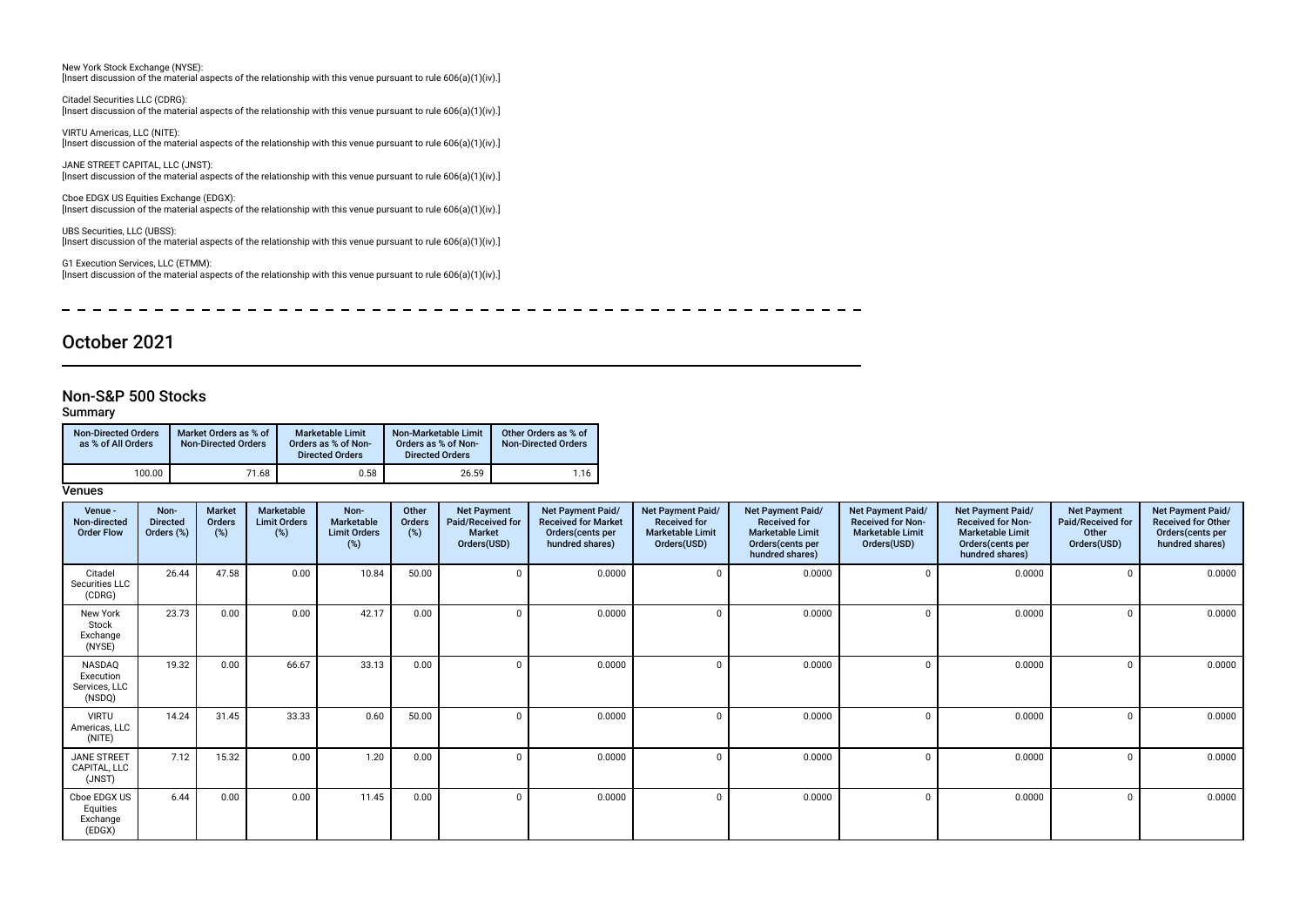New York Stock Exchange (NYSE): [Insert discussion of the material aspects of the relationship with this venue pursuant to rule 606(a)(1)(iv).]

Citadel Securities LLC (CDRG): [Insert discussion of the material aspects of the relationship with this venue pursuant to rule 606(a)(1)(iv).]

VIRTU Americas, LLC (NITE): [Insert discussion of the material aspects of the relationship with this venue pursuant to rule 606(a)(1)(iv).]

JANE STREET CAPITAL, LLC (JNST): [Insert discussion of the material aspects of the relationship with this venue pursuant to rule 606(a)(1)(iv).]

Cboe EDGX US Equities Exchange (EDGX): [Insert discussion of the material aspects of the relationship with this venue pursuant to rule 606(a)(1)(iv).]

UBS Securities, LLC (UBSS): [Insert discussion of the material aspects of the relationship with this venue pursuant to rule 606(a)(1)(iv).]

G1 Execution Services, LLC (ETMM): [Insert discussion of the material aspects of the relationship with this venue pursuant to rule 606(a)(1)(iv).]

\_ \_ \_ \_ \_ \_ \_ \_ \_ \_ \_ \_ \_ \_ \_  $\overline{\phantom{0}}$  $-$ 

# October 2021

#### Non-S&P 500 Stocks

#### Summary

| Non-Directed Orders<br>as % of All Orders | Market Orders as % of<br><b>Non-Directed Orders</b> | <b>Marketable Limit</b><br>Orders as % of Non-<br><b>Directed Orders</b> | Non-Marketable Limit<br>Orders as % of Non-<br><b>Directed Orders</b> | Other Orders as % of<br><b>Non-Directed Orders</b> |
|-------------------------------------------|-----------------------------------------------------|--------------------------------------------------------------------------|-----------------------------------------------------------------------|----------------------------------------------------|
| 100.00                                    | 71.68                                               | 0.58                                                                     | 26.59                                                                 | 1.16                                               |

| Venue -<br>Non-directed<br><b>Order Flow</b>   | Non-<br><b>Directed</b><br>Orders (%) | Market<br>Orders<br>(%) | Marketable<br><b>Limit Orders</b><br>(%) | Non-<br>Marketable<br><b>Limit Orders</b><br>(%) | Other<br>Orders<br>(%) | <b>Net Payment</b><br>Paid/Received for<br><b>Market</b><br>Orders(USD) | Net Payment Paid/<br><b>Received for Market</b><br>Orders (cents per<br>hundred shares) | Net Payment Paid/<br><b>Received for</b><br><b>Marketable Limit</b><br>Orders(USD) | Net Payment Paid/<br><b>Received for</b><br><b>Marketable Limit</b><br>Orders(cents per<br>hundred shares) | Net Payment Paid/<br><b>Received for Non-</b><br><b>Marketable Limit</b><br>Orders(USD) | Net Payment Paid/<br><b>Received for Non-</b><br><b>Marketable Limit</b><br>Orders (cents per<br>hundred shares) | <b>Net Payment</b><br>Paid/Received for<br>Other<br>Orders(USD) | Net Payment Paid/<br><b>Received for Other</b><br>Orders(cents per<br>hundred shares) |
|------------------------------------------------|---------------------------------------|-------------------------|------------------------------------------|--------------------------------------------------|------------------------|-------------------------------------------------------------------------|-----------------------------------------------------------------------------------------|------------------------------------------------------------------------------------|------------------------------------------------------------------------------------------------------------|-----------------------------------------------------------------------------------------|------------------------------------------------------------------------------------------------------------------|-----------------------------------------------------------------|---------------------------------------------------------------------------------------|
| Citadel<br>Securities LLC<br>(CDRG)            | 26.44                                 | 47.58                   | 0.00                                     | 10.84                                            | 50.00                  |                                                                         | 0.0000                                                                                  |                                                                                    | 0.0000                                                                                                     |                                                                                         | 0.0000                                                                                                           |                                                                 | 0.0000                                                                                |
| New York<br>Stock<br>Exchange<br>(NYSE)        | 23.73                                 | 0.00                    | 0.00                                     | 42.17                                            | 0.00                   |                                                                         | 0.0000                                                                                  |                                                                                    | 0.0000                                                                                                     |                                                                                         | 0.0000                                                                                                           |                                                                 | 0.0000                                                                                |
| NASDAQ<br>Execution<br>Services, LLC<br>(NSDQ) | 19.32                                 | 0.00                    | 66.67                                    | 33.13                                            | 0.00                   |                                                                         | 0.0000                                                                                  |                                                                                    | 0.0000                                                                                                     |                                                                                         | 0.0000                                                                                                           |                                                                 | 0.0000                                                                                |
| <b>VIRTU</b><br>Americas, LLC<br>(NITE)        | 14.24                                 | 31.45                   | 33.33                                    | 0.60                                             | 50.00                  |                                                                         | 0.0000                                                                                  |                                                                                    | 0.0000                                                                                                     |                                                                                         | 0.0000                                                                                                           |                                                                 | 0.0000                                                                                |
| JANE STREET<br>CAPITAL, LLC<br>(JNST)          | 7.12                                  | 15.32                   | 0.00                                     | 1.20                                             | 0.00                   |                                                                         | 0.0000                                                                                  |                                                                                    | 0.0000                                                                                                     |                                                                                         | 0.0000                                                                                                           |                                                                 | 0.0000                                                                                |
| Cboe EDGX US<br>Equities<br>Exchange<br>(EDGX) | 6.44                                  | 0.00                    | 0.00                                     | 11.45                                            | 0.00                   |                                                                         | 0.0000                                                                                  |                                                                                    | 0.0000                                                                                                     |                                                                                         | 0.0000                                                                                                           |                                                                 | 0.0000                                                                                |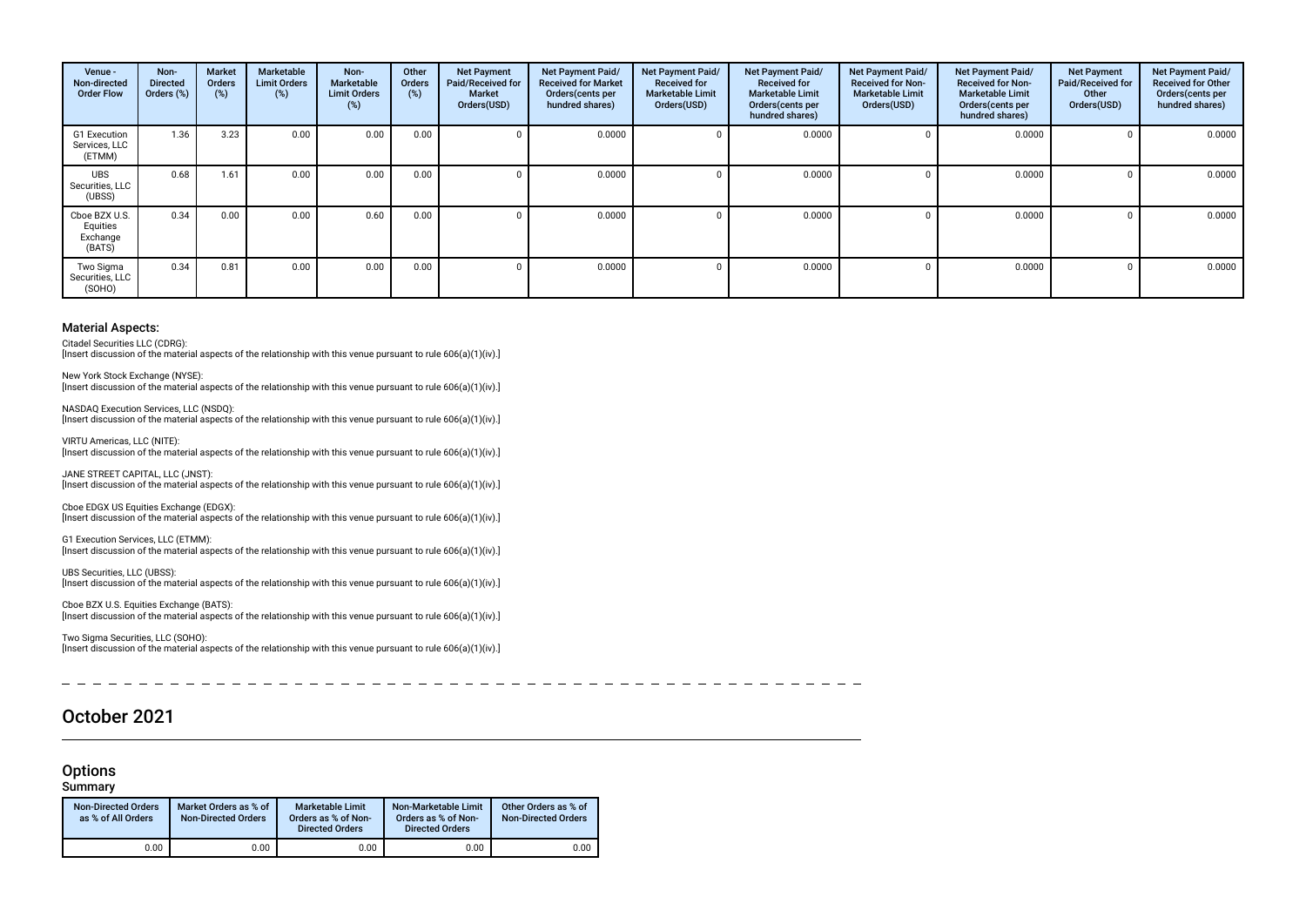| Venue -<br>Non-directed<br><b>Order Flow</b>    | Non-<br><b>Directed</b><br>Orders (%) | Market<br>Orders<br>$(\%)$ | Marketable<br><b>Limit Orders</b><br>(%) | Non-<br>Marketable<br><b>Limit Orders</b><br>(%) | Other<br>Orders<br>(%) | <b>Net Payment</b><br>Paid/Received for<br><b>Market</b><br>Orders(USD) | Net Payment Paid/<br><b>Received for Market</b><br>Orders(cents per<br>hundred shares) | Net Payment Paid/<br><b>Received for</b><br><b>Marketable Limit</b><br>Orders(USD) | Net Payment Paid/<br><b>Received for</b><br><b>Marketable Limit</b><br>Orders(cents per<br>hundred shares) | Net Payment Paid/<br><b>Received for Non-</b><br><b>Marketable Limit</b><br>Orders(USD) | Net Payment Paid/<br><b>Received for Non-</b><br><b>Marketable Limit</b><br>Orders (cents per<br>hundred shares) | <b>Net Payment</b><br>Paid/Received for<br>Other<br>Orders(USD) | Net Payment Paid/<br><b>Received for Other</b><br>Orders(cents per<br>hundred shares) |
|-------------------------------------------------|---------------------------------------|----------------------------|------------------------------------------|--------------------------------------------------|------------------------|-------------------------------------------------------------------------|----------------------------------------------------------------------------------------|------------------------------------------------------------------------------------|------------------------------------------------------------------------------------------------------------|-----------------------------------------------------------------------------------------|------------------------------------------------------------------------------------------------------------------|-----------------------------------------------------------------|---------------------------------------------------------------------------------------|
| G1 Execution<br>Services, LLC<br>(ETMM)         | 1.36                                  | 3.23                       | 0.00                                     | 0.00                                             | 0.00                   |                                                                         | 0.0000                                                                                 |                                                                                    | 0.0000                                                                                                     |                                                                                         | 0.0000                                                                                                           |                                                                 | 0.0000                                                                                |
| <b>UBS</b><br>Securities, LLC<br>(UBSS)         | 0.68                                  | 1.61                       | 0.00                                     | 0.00                                             | 0.00                   |                                                                         | 0.0000                                                                                 |                                                                                    | 0.0000                                                                                                     |                                                                                         | 0.0000                                                                                                           |                                                                 | 0.0000                                                                                |
| Cboe BZX U.S.<br>Equities<br>Exchange<br>(BATS) | 0.34                                  | 0.00                       | 0.00                                     | 0.60                                             | 0.00                   |                                                                         | 0.0000                                                                                 |                                                                                    | 0.0000                                                                                                     |                                                                                         | 0.0000                                                                                                           |                                                                 | 0.0000                                                                                |
| Two Sigma<br>Securities, LLC<br>(SOHO)          | 0.34                                  | 0.81                       | 0.00                                     | 0.00                                             | 0.00                   |                                                                         | 0.0000                                                                                 |                                                                                    | 0.0000                                                                                                     |                                                                                         | 0.0000                                                                                                           |                                                                 | 0.0000                                                                                |

Citadel Securities LLC (CDRG):

[Insert discussion of the material aspects of the relationship with this venue pursuant to rule 606(a)(1)(iv).]

New York Stock Exchange (NYSE): [Insert discussion of the material aspects of the relationship with this venue pursuant to rule 606(a)(1)(iv).]

NASDAQ Execution Services, LLC (NSDQ): [Insert discussion of the material aspects of the relationship with this venue pursuant to rule 606(a)(1)(iv).]

VIRTU Americas, LLC (NITE): [Insert discussion of the material aspects of the relationship with this venue pursuant to rule 606(a)(1)(iv).]

JANE STREET CAPITAL, LLC (JNST): [Insert discussion of the material aspects of the relationship with this venue pursuant to rule 606(a)(1)(iv).]

Cboe EDGX US Equities Exchange (EDGX): [Insert discussion of the material aspects of the relationship with this venue pursuant to rule 606(a)(1)(iv).]

G1 Execution Services, LLC (ETMM): [Insert discussion of the material aspects of the relationship with this venue pursuant to rule  $606(a)(1)(iv)$ .]

UBS Securities, LLC (UBSS): [Insert discussion of the material aspects of the relationship with this venue pursuant to rule 606(a)(1)(iv).]

Cboe BZX U.S. Equities Exchange (BATS): [Insert discussion of the material aspects of the relationship with this venue pursuant to rule 606(a)(1)(iv).]

Two Sigma Securities, LLC (SOHO): [Insert discussion of the material aspects of the relationship with this venue pursuant to rule 606(a)(1)(iv).]

October 2021

### **Options**

Summary

| <b>Non-Directed Orders</b><br>as % of All Orders | Market Orders as % of<br><b>Non-Directed Orders</b> | Marketable Limit<br>Orders as % of Non-<br><b>Directed Orders</b> | Non-Marketable Limit<br>Orders as % of Non-<br><b>Directed Orders</b> | Other Orders as % of<br><b>Non-Directed Orders</b> |
|--------------------------------------------------|-----------------------------------------------------|-------------------------------------------------------------------|-----------------------------------------------------------------------|----------------------------------------------------|
| 0.00                                             | 0.00                                                | 0.00                                                              | 0.00                                                                  | 0.00                                               |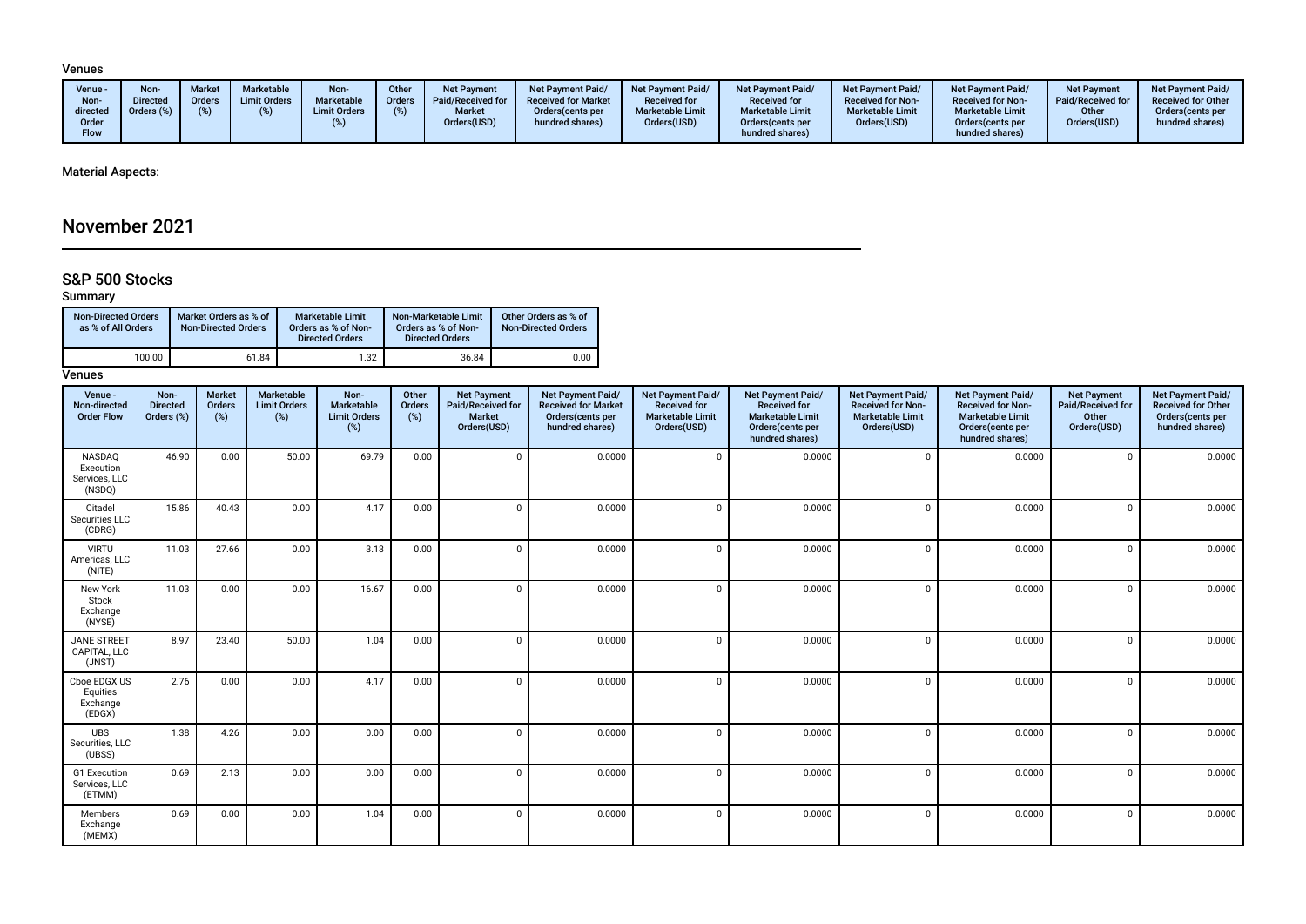#### Venues

### Material Aspects:

# November 2021

## S&P 500 Stocks

### Summary

| <b>Non-Directed Orders</b><br>as % of All Orders | Market Orders as % of<br><b>Non-Directed Orders</b> | <b>Marketable Limit</b><br>Orders as % of Non-<br><b>Directed Orders</b> | Non-Marketable Limit<br>Orders as % of Non-<br><b>Directed Orders</b> | Other Orders as % of<br><b>Non-Directed Orders</b> |
|--------------------------------------------------|-----------------------------------------------------|--------------------------------------------------------------------------|-----------------------------------------------------------------------|----------------------------------------------------|
| 100.00                                           | 61.84                                               | 1.32                                                                     | 36.84                                                                 | 0.00                                               |

| Venue -<br>Non-directed<br><b>Order Flow</b>   | Non-<br><b>Directed</b><br>Orders (%) | <b>Market</b><br>Orders<br>(%) | Marketable<br><b>Limit Orders</b><br>(%) | Non-<br>Marketable<br><b>Limit Orders</b><br>$(\%)$ | Other<br>Orders<br>(%) | <b>Net Payment</b><br>Paid/Received for<br><b>Market</b><br>Orders(USD) | Net Payment Paid/<br><b>Received for Market</b><br>Orders(cents per<br>hundred shares) | Net Payment Paid/<br><b>Received for</b><br><b>Marketable Limit</b><br>Orders(USD) | Net Payment Paid/<br><b>Received for</b><br><b>Marketable Limit</b><br>Orders(cents per<br>hundred shares) | Net Payment Paid/<br>Received for Non-<br><b>Marketable Limit</b><br>Orders(USD) | Net Payment Paid/<br><b>Received for Non-</b><br><b>Marketable Limit</b><br>Orders(cents per<br>hundred shares) | <b>Net Payment</b><br>Paid/Received for<br>Other<br>Orders(USD) | Net Payment Paid/<br><b>Received for Other</b><br>Orders(cents per<br>hundred shares) |
|------------------------------------------------|---------------------------------------|--------------------------------|------------------------------------------|-----------------------------------------------------|------------------------|-------------------------------------------------------------------------|----------------------------------------------------------------------------------------|------------------------------------------------------------------------------------|------------------------------------------------------------------------------------------------------------|----------------------------------------------------------------------------------|-----------------------------------------------------------------------------------------------------------------|-----------------------------------------------------------------|---------------------------------------------------------------------------------------|
| NASDAQ<br>Execution<br>Services, LLC<br>(NSDQ) | 46.90                                 | 0.00                           | 50.00                                    | 69.79                                               | 0.00                   | $\Omega$                                                                | 0.0000                                                                                 | $\mathbf 0$                                                                        | 0.0000                                                                                                     | $\Omega$                                                                         | 0.0000                                                                                                          | $\Omega$                                                        | 0.0000                                                                                |
| Citadel<br>Securities LLC<br>(CDRG)            | 15.86                                 | 40.43                          | 0.00                                     | 4.17                                                | 0.00                   |                                                                         | 0.0000                                                                                 | $\mathbf 0$                                                                        | 0.0000                                                                                                     | $\Omega$                                                                         | 0.0000                                                                                                          | $\Omega$                                                        | 0.0000                                                                                |
| <b>VIRTU</b><br>Americas, LLC<br>(NITE)        | 11.03                                 | 27.66                          | 0.00                                     | 3.13                                                | 0.00                   | $\Omega$                                                                | 0.0000                                                                                 | $\mathbf 0$                                                                        | 0.0000                                                                                                     | $\Omega$                                                                         | 0.0000                                                                                                          | $\Omega$                                                        | 0.0000                                                                                |
| New York<br>Stock<br>Exchange<br>(NYSE)        | 11.03                                 | 0.00                           | 0.00                                     | 16.67                                               | 0.00                   |                                                                         | 0.0000                                                                                 | $\mathbf 0$                                                                        | 0.0000                                                                                                     | $\Omega$                                                                         | 0.0000                                                                                                          | $\Omega$                                                        | 0.0000                                                                                |
| <b>JANE STREET</b><br>CAPITAL. LLC<br>(JNST)   | 8.97                                  | 23.40                          | 50.00                                    | 1.04                                                | 0.00                   |                                                                         | 0.0000                                                                                 | $\mathbf 0$                                                                        | 0.0000                                                                                                     | $\Omega$                                                                         | 0.0000                                                                                                          | $\Omega$                                                        | 0.0000                                                                                |
| Cboe EDGX US<br>Equities<br>Exchange<br>(EDGX) | 2.76                                  | 0.00                           | 0.00                                     | 4.17                                                | 0.00                   |                                                                         | 0.0000                                                                                 | $\mathbf 0$                                                                        | 0.0000                                                                                                     | $\Omega$                                                                         | 0.0000                                                                                                          | $\Omega$                                                        | 0.0000                                                                                |
| <b>UBS</b><br>Securities, LLC<br>(UBSS)        | 1.38                                  | 4.26                           | 0.00                                     | 0.00                                                | 0.00                   |                                                                         | 0.0000                                                                                 | $\Omega$                                                                           | 0.0000                                                                                                     | $\Omega$                                                                         | 0.0000                                                                                                          | $\Omega$                                                        | 0.0000                                                                                |
| G1 Execution<br>Services, LLC<br>(ETMM)        | 0.69                                  | 2.13                           | 0.00                                     | 0.00                                                | 0.00                   |                                                                         | 0.0000                                                                                 | $\mathbf 0$                                                                        | 0.0000                                                                                                     | $\Omega$                                                                         | 0.0000                                                                                                          | $\Omega$                                                        | 0.0000                                                                                |
| Members<br>Exchange<br>(MEMX)                  | 0.69                                  | 0.00                           | 0.00                                     | 1.04                                                | 0.00                   | $\Omega$                                                                | 0.0000                                                                                 | $\mathbf 0$                                                                        | 0.0000                                                                                                     | $^{\circ}$                                                                       | 0.0000                                                                                                          | $\Omega$                                                        | 0.0000                                                                                |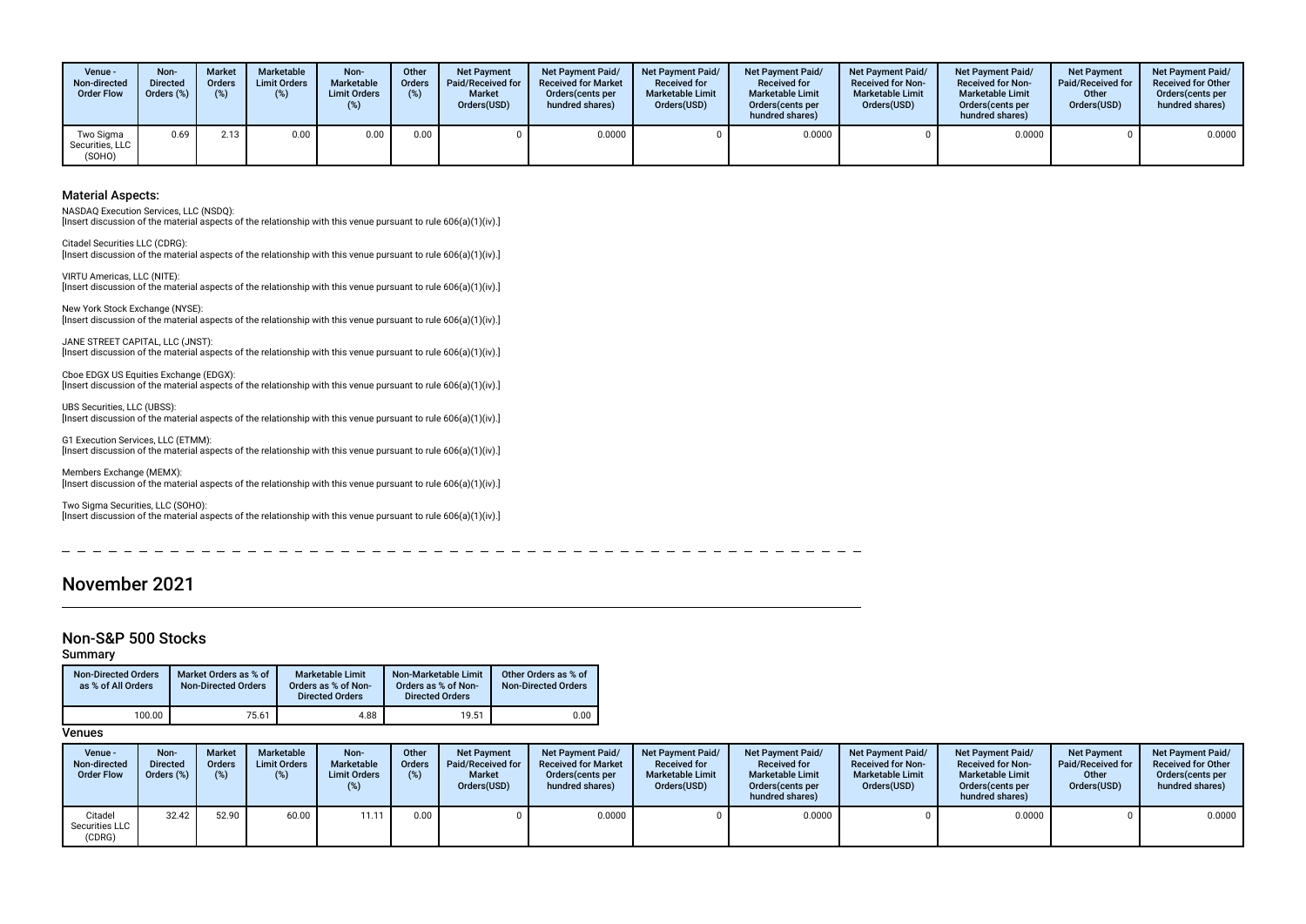| Venue -<br>Non-directed<br><b>Order Flow</b> | Non-<br><b>Directed</b><br>Orders (%) | <b>Market</b><br><b>Orders</b><br>(%) | Marketable<br><b>Limit Orders</b><br>(% ) | Non-<br>Marketable<br><b>Limit Orders</b> | Other<br><b>Orders</b><br>(%) | <b>Net Payment</b><br>Paid/Received for<br><b>Market</b><br>Orders(USD) | <b>Net Payment Paid/</b><br><b>Received for Market</b><br>Orders cents per<br>hundred shares) | <b>Net Payment Paid/</b><br><b>Received for</b><br><b>Marketable Limit</b><br>Orders(USD) | <b>Net Payment Paid/</b><br><b>Received for</b><br><b>Marketable Limit</b><br>Orders(cents per<br>hundred shares) | <b>Net Payment Paid/</b><br><b>Received for Non-</b><br><b>Marketable Limit</b><br>Orders(USD) | <b>Net Payment Paid/</b><br><b>Received for Non-</b><br><b>Marketable Limit</b><br>Orders (cents per<br>hundred shares) | <b>Net Payment</b><br>Paid/Received for<br>Other<br>Orders(USD) | <b>Net Payment Paid/</b><br><b>Received for Other</b><br>Orders (cents per<br>hundred shares) |
|----------------------------------------------|---------------------------------------|---------------------------------------|-------------------------------------------|-------------------------------------------|-------------------------------|-------------------------------------------------------------------------|-----------------------------------------------------------------------------------------------|-------------------------------------------------------------------------------------------|-------------------------------------------------------------------------------------------------------------------|------------------------------------------------------------------------------------------------|-------------------------------------------------------------------------------------------------------------------------|-----------------------------------------------------------------|-----------------------------------------------------------------------------------------------|
| Two Sigma<br>Securities. LLC<br>(SOHO)       | 0.69                                  | 2.13                                  | 0.00                                      | 0.00                                      | 0.00                          |                                                                         | 0.0000                                                                                        |                                                                                           | 0.0000                                                                                                            |                                                                                                | 0.0000                                                                                                                  |                                                                 | 0.0000                                                                                        |

NASDAQ Execution Services, LLC (NSDQ):

[Insert discussion of the material aspects of the relationship with this venue pursuant to rule 606(a)(1)(iv).]

Citadel Securities LLC (CDRG): [Insert discussion of the material aspects of the relationship with this venue pursuant to rule 606(a)(1)(iv).]

VIRTU Americas, LLC (NITE): [Insert discussion of the material aspects of the relationship with this venue pursuant to rule 606(a)(1)(iv).]

New York Stock Exchange (NYSE): [Insert discussion of the material aspects of the relationship with this venue pursuant to rule 606(a)(1)(iv).]

JANE STREET CAPITAL, LLC (JNST): [Insert discussion of the material aspects of the relationship with this venue pursuant to rule 606(a)(1)(iv).]

Cboe EDGX US Equities Exchange (EDGX): [Insert discussion of the material aspects of the relationship with this venue pursuant to rule 606(a)(1)(iv).]

UBS Securities, LLC (UBSS): [Insert discussion of the material aspects of the relationship with this venue pursuant to rule 606(a)(1)(iv).]

G1 Execution Services, LLC (ETMM): [Insert discussion of the material aspects of the relationship with this venue pursuant to rule 606(a)(1)(iv).]

Members Exchange (MEMX): [Insert discussion of the material aspects of the relationship with this venue pursuant to rule 606(a)(1)(iv).]

Two Sigma Securities, LLC (SOHO): [Insert discussion of the material aspects of the relationship with this venue pursuant to rule 606(a)(1)(iv).]

November 2021

# Non-S&P 500 Stocks

Summary

| <b>Non-Directed Orders</b><br>as % of All Orders | Market Orders as % of<br><b>Non-Directed Orders</b> | Marketable Limit<br>Orders as % of Non-<br><b>Directed Orders</b> | Non-Marketable Limit<br>Orders as % of Non-<br><b>Directed Orders</b> | Other Orders as % of<br><b>Non-Directed Orders</b> |
|--------------------------------------------------|-----------------------------------------------------|-------------------------------------------------------------------|-----------------------------------------------------------------------|----------------------------------------------------|
| 100.00                                           | 75.61                                               | 4.88                                                              | 19.51                                                                 | 0.00                                               |

| Venue -<br>Non-directed<br><b>Order Flow</b> | Non-<br><b>Directed</b><br>Orders (%) | <b>Market</b><br><b>Orders</b><br>$(\%)$ | Marketable<br><b>Limit Orders</b><br>(%) | Non-<br>Marketable<br><b>Limit Orders</b> | Other<br><b>Orders</b><br>(%) | <b>Net Payment</b><br>Paid/Received for<br><b>Market</b><br>Orders(USD) | <b>Net Payment Paid/</b><br><b>Received for Market</b><br>Orders cents per<br>hundred shares) | <b>Net Payment Paid/</b><br><b>Received for</b><br><b>Marketable Limit</b><br>Orders(USD) | <b>Net Payment Paid/</b><br><b>Received for</b><br><b>Marketable Limit</b><br>Orders (cents per<br>hundred shares) | <b>Net Payment Paid/</b><br><b>Received for Non-</b><br><b>Marketable Limit</b><br>Orders(USD) | <b>Net Payment Paid/</b><br><b>Received for Non-</b><br><b>Marketable Limit</b><br>Orders (cents per<br>hundred shares) | <b>Net Payment</b><br>Paid/Received for<br>Other<br>Orders(USD) | <b>Net Payment Paid/</b><br><b>Received for Other</b><br>Orders (cents per<br>hundred shares) |
|----------------------------------------------|---------------------------------------|------------------------------------------|------------------------------------------|-------------------------------------------|-------------------------------|-------------------------------------------------------------------------|-----------------------------------------------------------------------------------------------|-------------------------------------------------------------------------------------------|--------------------------------------------------------------------------------------------------------------------|------------------------------------------------------------------------------------------------|-------------------------------------------------------------------------------------------------------------------------|-----------------------------------------------------------------|-----------------------------------------------------------------------------------------------|
| Citadel<br>Securities LLC<br>(CDRG)          | 32.42                                 | 52.90                                    | 60.00                                    | 11.11                                     | 0.00                          |                                                                         | 0.0000                                                                                        |                                                                                           | 0.0000                                                                                                             |                                                                                                | 0.0000                                                                                                                  |                                                                 | 0.0000                                                                                        |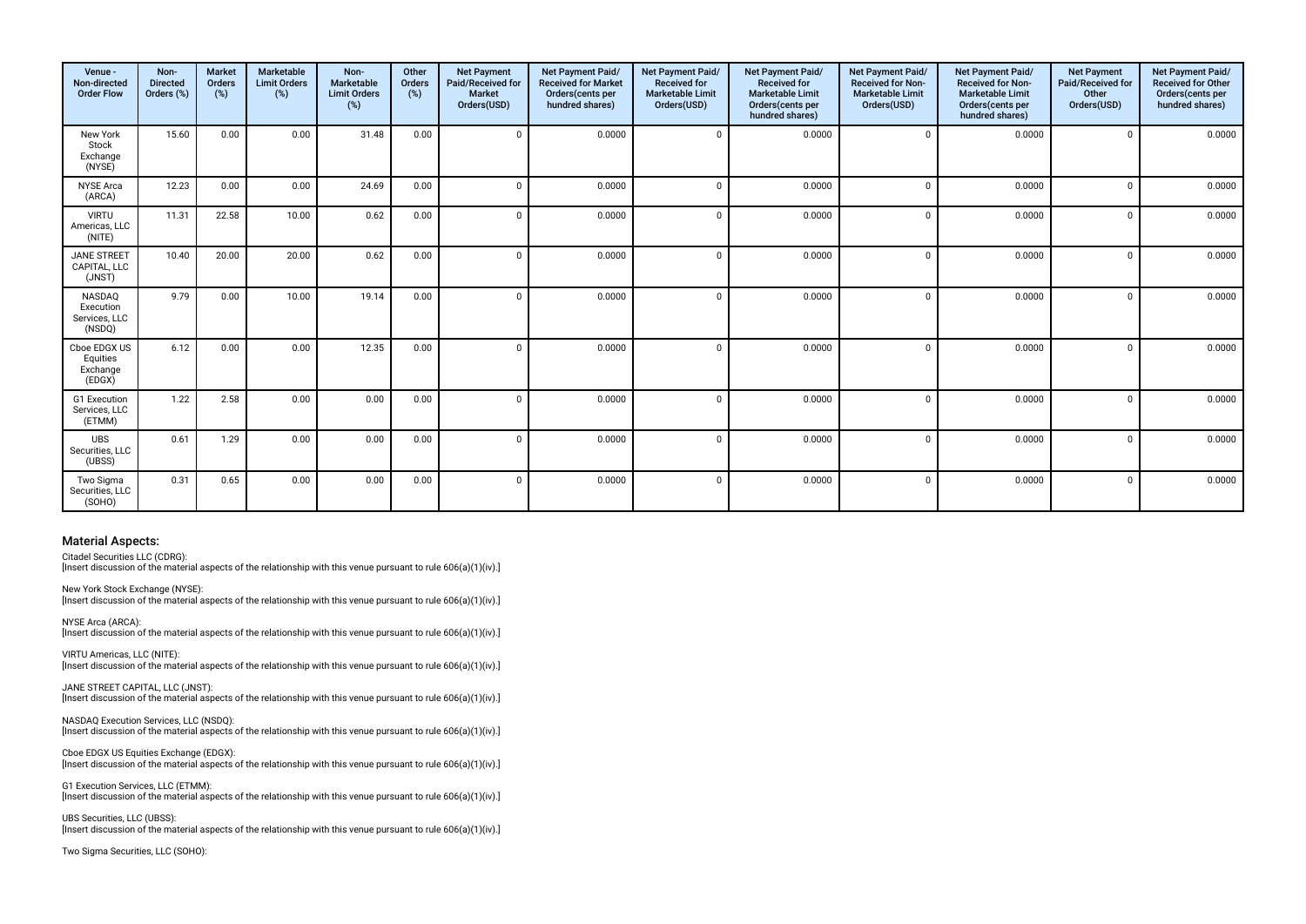| Venue -<br>Non-directed<br><b>Order Flow</b>          | Non-<br><b>Directed</b><br>Orders (%) | <b>Market</b><br>Orders<br>(%) | Marketable<br><b>Limit Orders</b><br>(%) | Non-<br>Marketable<br><b>Limit Orders</b><br>(%) | Other<br>Orders<br>(%) | <b>Net Payment</b><br>Paid/Received for<br>Market<br>Orders(USD) | Net Payment Paid/<br><b>Received for Market</b><br>Orders(cents per<br>hundred shares) | Net Payment Paid/<br>Received for<br><b>Marketable Limit</b><br>Orders(USD) | Net Payment Paid/<br>Received for<br><b>Marketable Limit</b><br>Orders (cents per<br>hundred shares) | Net Payment Paid/<br>Received for Non-<br><b>Marketable Limit</b><br>Orders(USD) | Net Payment Paid/<br>Received for Non-<br><b>Marketable Limit</b><br>Orders(cents per<br>hundred shares) | <b>Net Payment</b><br>Paid/Received for<br>Other<br>Orders(USD) | Net Payment Paid/<br><b>Received for Other</b><br>Orders(cents per<br>hundred shares) |
|-------------------------------------------------------|---------------------------------------|--------------------------------|------------------------------------------|--------------------------------------------------|------------------------|------------------------------------------------------------------|----------------------------------------------------------------------------------------|-----------------------------------------------------------------------------|------------------------------------------------------------------------------------------------------|----------------------------------------------------------------------------------|----------------------------------------------------------------------------------------------------------|-----------------------------------------------------------------|---------------------------------------------------------------------------------------|
| New York<br>Stock<br>Exchange<br>(NYSE)               | 15.60                                 | 0.00                           | 0.00                                     | 31.48                                            | 0.00                   | $\Omega$                                                         | 0.0000                                                                                 | $\Omega$                                                                    | 0.0000                                                                                               | $\Omega$                                                                         | 0.0000                                                                                                   | $\Omega$                                                        | 0.0000                                                                                |
| <b>NYSE</b> Arca<br>(ARCA)                            | 12.23                                 | 0.00                           | 0.00                                     | 24.69                                            | 0.00                   | $\Omega$                                                         | 0.0000                                                                                 | $\Omega$                                                                    | 0.0000                                                                                               | $\Omega$                                                                         | 0.0000                                                                                                   | $\Omega$                                                        | 0.0000                                                                                |
| <b>VIRTU</b><br>Americas, LLC<br>(NITE)               | 11.31                                 | 22.58                          | 10.00                                    | 0.62                                             | 0.00                   | $\Omega$                                                         | 0.0000                                                                                 | $\Omega$                                                                    | 0.0000                                                                                               | $\Omega$                                                                         | 0.0000                                                                                                   | $\Omega$                                                        | 0.0000                                                                                |
| <b>JANE STREET</b><br>CAPITAL, LLC<br>(JNST)          | 10.40                                 | 20.00                          | 20.00                                    | 0.62                                             | 0.00                   | $\Omega$                                                         | 0.0000                                                                                 | $\Omega$                                                                    | 0.0000                                                                                               |                                                                                  | 0.0000                                                                                                   | $\Omega$                                                        | 0.0000                                                                                |
| <b>NASDAQ</b><br>Execution<br>Services, LLC<br>(NSDQ) | 9.79                                  | 0.00                           | 10.00                                    | 19.14                                            | 0.00                   | $\Omega$                                                         | 0.0000                                                                                 |                                                                             | 0.0000                                                                                               | $\Omega$                                                                         | 0.0000                                                                                                   | $\Omega$                                                        | 0.0000                                                                                |
| Cboe EDGX US<br>Equities<br>Exchange<br>(EDGX)        | 6.12                                  | 0.00                           | 0.00                                     | 12.35                                            | 0.00                   | $\Omega$                                                         | 0.0000                                                                                 | $\Omega$                                                                    | 0.0000                                                                                               | $\Omega$                                                                         | 0.0000                                                                                                   | $\Omega$                                                        | 0.0000                                                                                |
| G1 Execution<br>Services, LLC<br>(ETMM)               | 1.22                                  | 2.58                           | 0.00                                     | 0.00                                             | 0.00                   | $\Omega$                                                         | 0.0000                                                                                 |                                                                             | 0.0000                                                                                               | $\Omega$                                                                         | 0.0000                                                                                                   | $\Omega$                                                        | 0.0000                                                                                |
| <b>UBS</b><br>Securities, LLC<br>(UBSS)               | 0.61                                  | 1.29                           | 0.00                                     | 0.00                                             | 0.00                   | $\Omega$                                                         | 0.0000                                                                                 | $\Omega$                                                                    | 0.0000                                                                                               | $\Omega$                                                                         | 0.0000                                                                                                   | $\Omega$                                                        | 0.0000                                                                                |
| Two Sigma<br>Securities, LLC<br>(SOHO)                | 0.31                                  | 0.65                           | 0.00                                     | 0.00                                             | 0.00                   | $\Omega$                                                         | 0.0000                                                                                 | $\Omega$                                                                    | 0.0000                                                                                               | $\Omega$                                                                         | 0.0000                                                                                                   | $\Omega$                                                        | 0.0000                                                                                |

Citadel Securities LLC (CDRG):

Insert discussion of the material aspects of the relationship with this venue pursuant to rule 606(a)(1)(iv).]

New York Stock Exchange (NYSE): [Insert discussion of the material aspects of the relationship with this venue pursuant to rule 606(a)(1)(iv).]

NYSE Arca (ARCA): [Insert discussion of the material aspects of the relationship with this venue pursuant to rule 606(a)(1)(iv).]

VIRTU Americas, LLC (NITE): Insert discussion of the material aspects of the relationship with this venue pursuant to rule 606(a)(1)(iv).]

JANE STREET CAPITAL, LLC (JNST): [Insert discussion of the material aspects of the relationship with this venue pursuant to rule 606(a)(1)(iv).]

NASDAQ Execution Services, LLC (NSDQ): [Insert discussion of the material aspects of the relationship with this venue pursuant to rule 606(a)(1)(iv).]

Cboe EDGX US Equities Exchange (EDGX): [Insert discussion of the material aspects of the relationship with this venue pursuant to rule 606(a)(1)(iv).]

G1 Execution Services, LLC (ETMM): [Insert discussion of the material aspects of the relationship with this venue pursuant to rule 606(a)(1)(iv).]

UBS Securities, LLC (UBSS): [Insert discussion of the material aspects of the relationship with this venue pursuant to rule 606(a)(1)(iv).]

Two Sigma Securities, LLC (SOHO):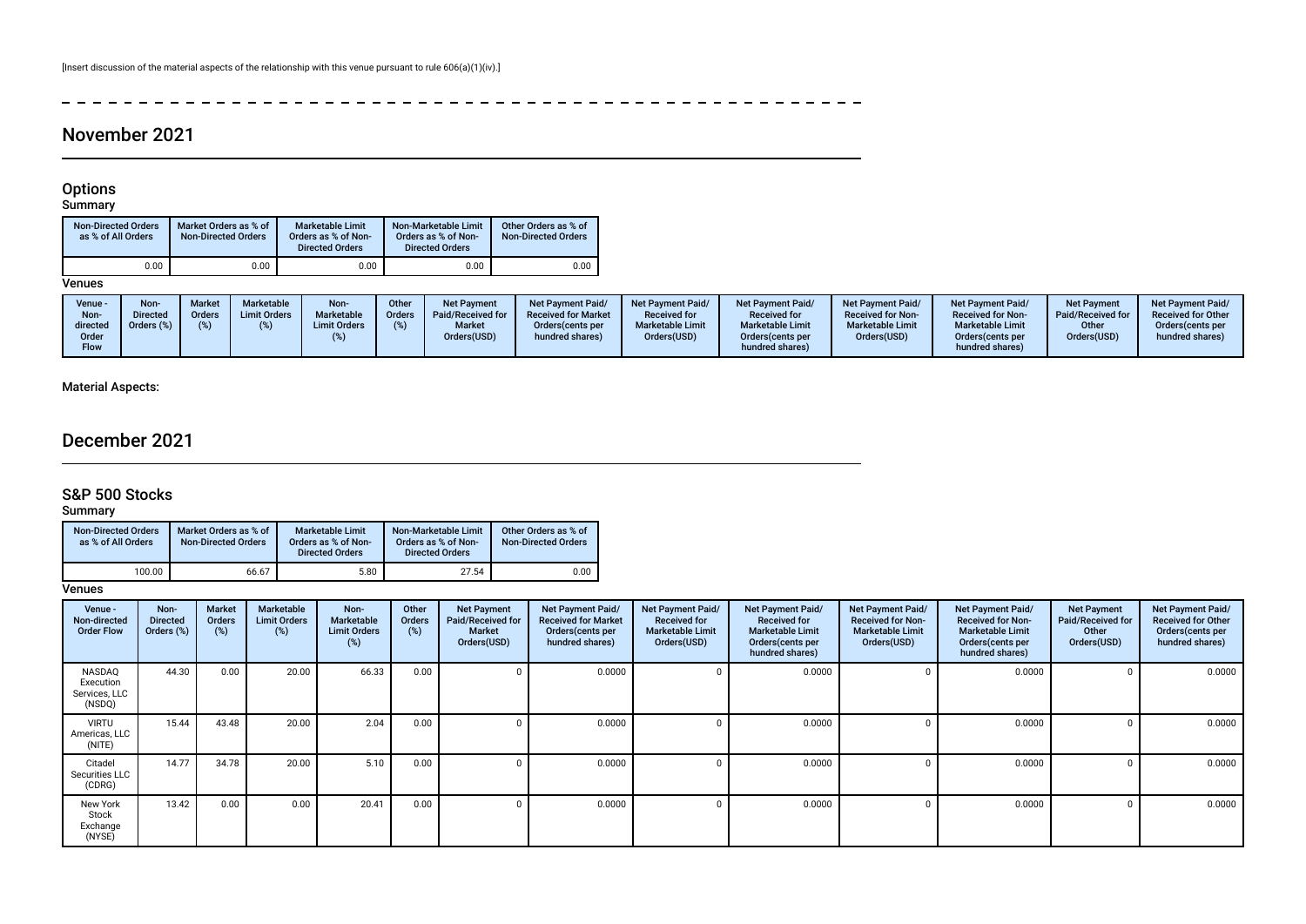**Contract Contract**  $\frac{1}{2}$  $\overline{a}$  $\sim$  $\sim$  $\sim$  $\sim$  100  $\pm$  $\sim$  100  $\mu$  $\overline{\phantom{a}}$  $\sim$  $\sim$  $\overline{\phantom{a}}$  $\sim$  $\sim$  $\overline{a}$  $\sim$  $\sim$  $\frac{1}{2}$  =  $\frac{1}{2}$  =  $\frac{1}{2}$  =  $\frac{1}{2}$ 

# November 2021

### Options

Summary

| <b>Non-Directed Orders</b><br>as % of All Orders | Market Orders as % of<br><b>Non-Directed Orders</b> | <b>Marketable Limit</b><br>Orders as % of Non-<br><b>Directed Orders</b> | Non-Marketable Limit<br>Orders as % of Non-<br><b>Directed Orders</b> | Other Orders as % of<br><b>Non-Directed Orders</b> |
|--------------------------------------------------|-----------------------------------------------------|--------------------------------------------------------------------------|-----------------------------------------------------------------------|----------------------------------------------------|
| 0.00                                             | 0.00                                                | 0.00                                                                     | 0.00                                                                  | 0.00                                               |

**Venues** 

| Venue -<br>Non-<br>directed<br>Order<br>Flow | Non<br><b>Market</b><br>Directed<br><b>Orders</b><br>Orders (%) | Marketable<br><b>Limit Orders</b> | Non-<br>Marketable<br><b>Limit Orders</b> | Other<br>Orders | <b>Net Payment</b><br>Paid/Received for<br><b>Market</b><br>Orders(USD) | <b>Net Payment Paid/</b><br><b>Received for Market</b><br>Orders (cents per<br>hundred shares) | <b>Net Payment Paid/</b><br><b>Received for</b><br><b>Marketable Limit</b><br>Orders(USD) | <b>Net Payment Paid/</b><br><b>Received for</b><br><b>Marketable Limit</b><br>Orders (cents per<br>hundred shares) | <b>Net Payment Paid/</b><br><b>Received for Non-</b><br><b>Marketable Limit</b><br>Orders(USD) | <b>Net Payment Paid/</b><br><b>Received for Non-</b><br><b>Marketable Limit</b><br>Orders (cents per<br>hundred shares) | <b>Net Payment</b><br>Paid/Received for<br>Other<br>Orders(USD) | <b>Net Payment Paid/</b><br><b>Received for Other</b><br>Orders cents per<br>hundred shares) |
|----------------------------------------------|-----------------------------------------------------------------|-----------------------------------|-------------------------------------------|-----------------|-------------------------------------------------------------------------|------------------------------------------------------------------------------------------------|-------------------------------------------------------------------------------------------|--------------------------------------------------------------------------------------------------------------------|------------------------------------------------------------------------------------------------|-------------------------------------------------------------------------------------------------------------------------|-----------------------------------------------------------------|----------------------------------------------------------------------------------------------|
|----------------------------------------------|-----------------------------------------------------------------|-----------------------------------|-------------------------------------------|-----------------|-------------------------------------------------------------------------|------------------------------------------------------------------------------------------------|-------------------------------------------------------------------------------------------|--------------------------------------------------------------------------------------------------------------------|------------------------------------------------------------------------------------------------|-------------------------------------------------------------------------------------------------------------------------|-----------------------------------------------------------------|----------------------------------------------------------------------------------------------|

## Material Aspects:

# December 2021

# S&P 500 Stocks

Summary

| <b>Non-Directed Orders</b><br>as % of All Orders | Market Orders as % of<br><b>Non-Directed Orders</b> | Marketable Limit<br>Orders as % of Non-<br><b>Directed Orders</b> | Non-Marketable Limit<br>Orders as % of Non-<br><b>Directed Orders</b> | Other Orders as % of<br><b>Non-Directed Orders</b> |
|--------------------------------------------------|-----------------------------------------------------|-------------------------------------------------------------------|-----------------------------------------------------------------------|----------------------------------------------------|
| 100.00                                           | 66.67                                               | 5.80                                                              | 27.54                                                                 | 0.00                                               |

| Venue -<br>Non-directed<br><b>Order Flow</b>   | Non-<br><b>Directed</b><br>Orders (%) | <b>Market</b><br><b>Orders</b><br>$(\%)$ | Marketable<br><b>Limit Orders</b><br>$(\%)$ | Non-<br>Marketable<br><b>Limit Orders</b><br>(%) | Other<br><b>Orders</b><br>(%) | <b>Net Payment</b><br>Paid/Received for<br><b>Market</b><br>Orders(USD) | Net Payment Paid/<br><b>Received for Market</b><br>Orders (cents per<br>hundred shares) | Net Payment Paid/<br><b>Received for</b><br><b>Marketable Limit</b><br>Orders(USD) | Net Payment Paid/<br><b>Received for</b><br><b>Marketable Limit</b><br>Orders(cents per<br>hundred shares) | <b>Net Payment Paid/</b><br><b>Received for Non-</b><br><b>Marketable Limit</b><br>Orders(USD) | <b>Net Payment Paid/</b><br><b>Received for Non-</b><br><b>Marketable Limit</b><br>Orders (cents per<br>hundred shares) | <b>Net Payment</b><br>Paid/Received for<br>Other<br>Orders(USD) | Net Payment Paid/<br><b>Received for Other</b><br>Orders(cents per<br>hundred shares) |
|------------------------------------------------|---------------------------------------|------------------------------------------|---------------------------------------------|--------------------------------------------------|-------------------------------|-------------------------------------------------------------------------|-----------------------------------------------------------------------------------------|------------------------------------------------------------------------------------|------------------------------------------------------------------------------------------------------------|------------------------------------------------------------------------------------------------|-------------------------------------------------------------------------------------------------------------------------|-----------------------------------------------------------------|---------------------------------------------------------------------------------------|
| NASDAQ<br>Execution<br>Services, LLC<br>(NSDQ) | 44.30                                 | 0.00                                     | 20.00                                       | 66.33                                            | 0.00                          | $\Omega$                                                                | 0.0000                                                                                  |                                                                                    | 0.0000                                                                                                     |                                                                                                | 0.0000                                                                                                                  |                                                                 | 0.0000                                                                                |
| <b>VIRTU</b><br>Americas, LLC<br>(NITE)        | 15.44                                 | 43.48                                    | 20.00                                       | 2.04                                             | 0.00                          | 0                                                                       | 0.0000                                                                                  |                                                                                    | 0.0000                                                                                                     |                                                                                                | 0.0000                                                                                                                  |                                                                 | 0.0000                                                                                |
| Citadel<br>Securities LLC<br>(CDRG)            | 14.77                                 | 34.78                                    | 20.00                                       | 5.10                                             | 0.00                          | $\Omega$                                                                | 0.0000                                                                                  |                                                                                    | 0.0000                                                                                                     |                                                                                                | 0.0000                                                                                                                  |                                                                 | 0.0000                                                                                |
| New York<br>Stock<br>Exchange<br>(NYSE)        | 13.42                                 | 0.00                                     | 0.00                                        | 20.41                                            | 0.00                          | 0                                                                       | 0.0000                                                                                  |                                                                                    | 0.0000                                                                                                     |                                                                                                | 0.0000                                                                                                                  |                                                                 | 0.0000                                                                                |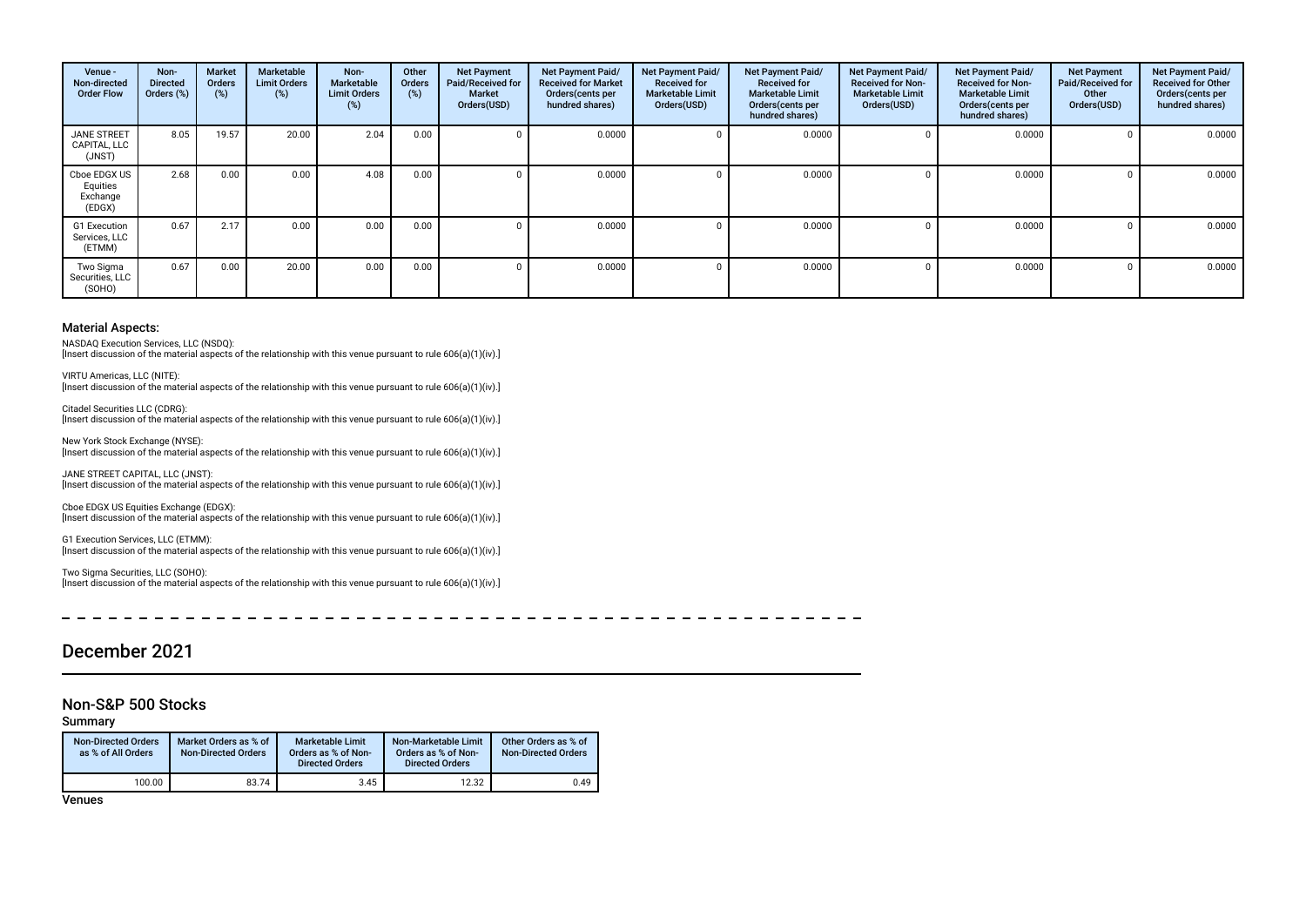| Venue -<br>Non-directed<br><b>Order Flow</b>   | Non-<br><b>Directed</b><br>Orders (%) | <b>Market</b><br><b>Orders</b><br>(%) | Marketable<br><b>Limit Orders</b><br>$(\%)$ | Non-<br>Marketable<br><b>Limit Orders</b><br>(%) | Other<br><b>Orders</b><br>(%) | <b>Net Payment</b><br>Paid/Received for<br><b>Market</b><br>Orders(USD) | Net Payment Paid/<br><b>Received for Market</b><br>Orders (cents per<br>hundred shares) | Net Payment Paid/<br><b>Received for</b><br><b>Marketable Limit</b><br>Orders(USD) | Net Payment Paid/<br><b>Received for</b><br><b>Marketable Limit</b><br>Orders(cents per<br>hundred shares) | Net Payment Paid/<br><b>Received for Non-</b><br><b>Marketable Limit</b><br>Orders(USD) | Net Payment Paid/<br><b>Received for Non-</b><br><b>Marketable Limit</b><br>Orders (cents per<br>hundred shares) | <b>Net Payment</b><br>Paid/Received for<br>Other<br>Orders(USD) | Net Payment Paid/<br><b>Received for Other</b><br>Orders(cents per<br>hundred shares) |
|------------------------------------------------|---------------------------------------|---------------------------------------|---------------------------------------------|--------------------------------------------------|-------------------------------|-------------------------------------------------------------------------|-----------------------------------------------------------------------------------------|------------------------------------------------------------------------------------|------------------------------------------------------------------------------------------------------------|-----------------------------------------------------------------------------------------|------------------------------------------------------------------------------------------------------------------|-----------------------------------------------------------------|---------------------------------------------------------------------------------------|
| <b>JANE STREET</b><br>CAPITAL, LLC<br>(JNST)   | 8.05                                  | 19.57                                 | 20.00                                       | 2.04                                             | 0.00                          |                                                                         | 0.0000                                                                                  |                                                                                    | 0.0000                                                                                                     |                                                                                         | 0.0000                                                                                                           |                                                                 | 0.0000                                                                                |
| Cboe EDGX US<br>Equities<br>Exchange<br>(EDGX) | 2.68                                  | 0.00                                  | 0.00                                        | 4.08                                             | 0.00                          |                                                                         | 0.0000                                                                                  |                                                                                    | 0.0000                                                                                                     |                                                                                         | 0.0000                                                                                                           |                                                                 | 0.0000                                                                                |
| G1 Execution<br>Services, LLC<br>(ETMM)        | 0.67                                  | 2.17                                  | 0.00                                        | 0.00                                             | 0.00                          |                                                                         | 0.0000                                                                                  |                                                                                    | 0.0000                                                                                                     |                                                                                         | 0.0000                                                                                                           |                                                                 | 0.0000                                                                                |
| Two Sigma<br>Securities, LLC<br>(SOHO)         | 0.67                                  | 0.00                                  | 20.00                                       | 0.00                                             | 0.00                          |                                                                         | 0.0000                                                                                  |                                                                                    | 0.0000                                                                                                     |                                                                                         | 0.0000                                                                                                           |                                                                 | 0.0000                                                                                |

NASDAQ Execution Services, LLC (NSDQ):

[Insert discussion of the material aspects of the relationship with this venue pursuant to rule 606(a)(1)(iv).]

VIRTU Americas, LLC (NITE): [Insert discussion of the material aspects of the relationship with this venue pursuant to rule 606(a)(1)(iv).]

Citadel Securities LLC (CDRG): [Insert discussion of the material aspects of the relationship with this venue pursuant to rule 606(a)(1)(iv).]

New York Stock Exchange (NYSE): [Insert discussion of the material aspects of the relationship with this venue pursuant to rule 606(a)(1)(iv).]

JANE STREET CAPITAL, LLC (JNST): [Insert discussion of the material aspects of the relationship with this venue pursuant to rule 606(a)(1)(iv).]

Cboe EDGX US Equities Exchange (EDGX): [Insert discussion of the material aspects of the relationship with this venue pursuant to rule 606(a)(1)(iv).]

G1 Execution Services, LLC (ETMM): [Insert discussion of the material aspects of the relationship with this venue pursuant to rule 606(a)(1)(iv).]

Two Sigma Securities, LLC (SOHO): [Insert discussion of the material aspects of the relationship with this venue pursuant to rule 606(a)(1)(iv).]

# December 2021

### Non-S&P 500 Stocks

Summary

| <b>Non-Directed Orders</b><br>as % of All Orders | Market Orders as % of<br><b>Non-Directed Orders</b> | <b>Marketable Limit</b><br>Orders as % of Non-<br><b>Directed Orders</b> | Non-Marketable Limit<br>Orders as % of Non-<br><b>Directed Orders</b> | Other Orders as % of<br>Non-Directed Orders |
|--------------------------------------------------|-----------------------------------------------------|--------------------------------------------------------------------------|-----------------------------------------------------------------------|---------------------------------------------|
| 100.00                                           | 83.74                                               | 3.45                                                                     | 12.32                                                                 | 0.49                                        |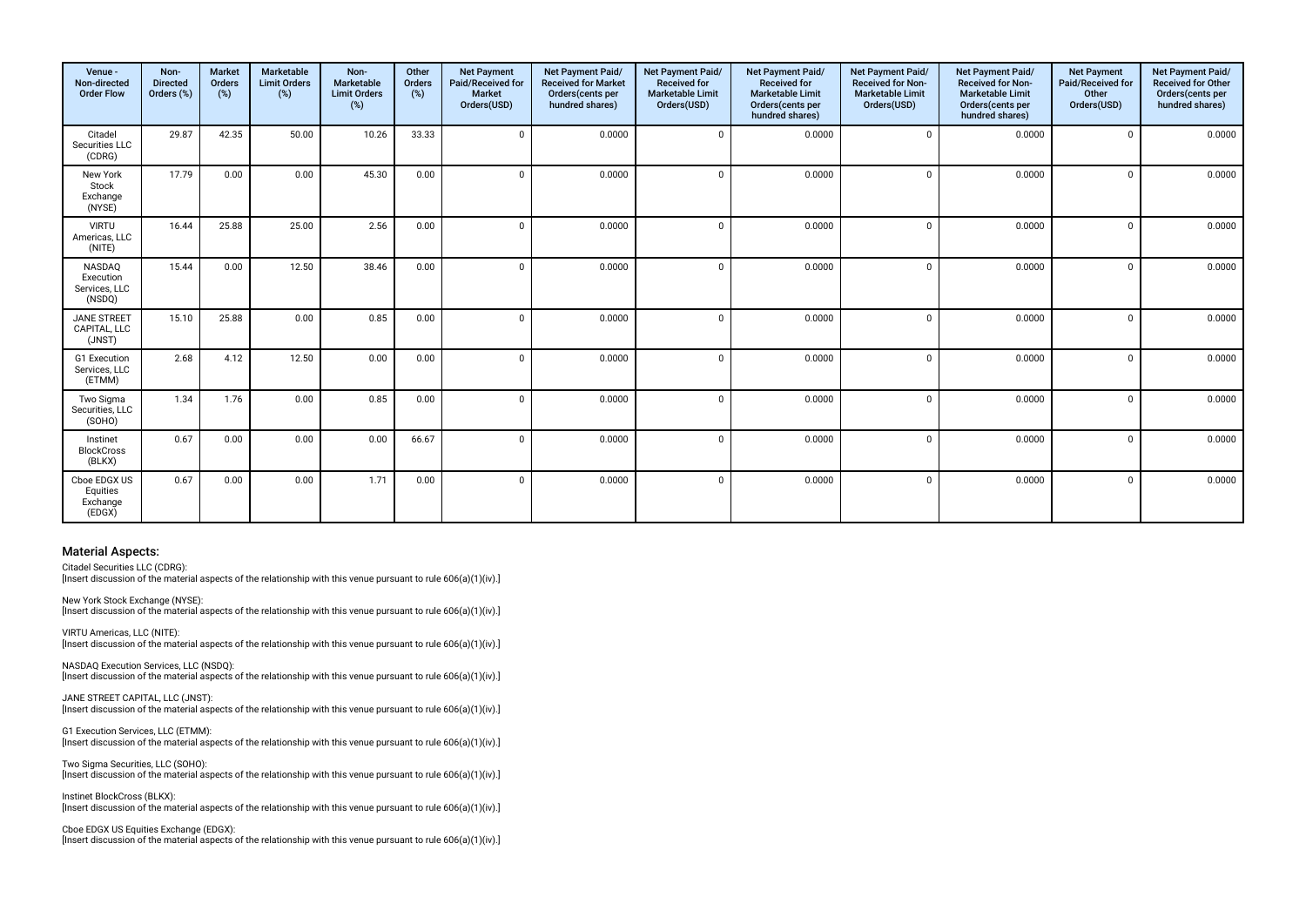| Venue -<br>Non-directed<br><b>Order Flow</b>   | Non-<br><b>Directed</b><br>Orders (%) | <b>Market</b><br><b>Orders</b><br>(%) | Marketable<br><b>Limit Orders</b><br>$(\%)$ | Non-<br>Marketable<br><b>Limit Orders</b><br>(%) | Other<br>Orders<br>(%) | <b>Net Payment</b><br>Paid/Received for<br><b>Market</b><br>Orders(USD) | Net Payment Paid/<br><b>Received for Market</b><br>Orders(cents per<br>hundred shares) | Net Payment Paid/<br><b>Received for</b><br><b>Marketable Limit</b><br>Orders(USD) | Net Payment Paid/<br><b>Received for</b><br><b>Marketable Limit</b><br>Orders(cents per<br>hundred shares) | Net Payment Paid/<br>Received for Non-<br><b>Marketable Limit</b><br>Orders(USD) | Net Payment Paid/<br><b>Received for Non-</b><br><b>Marketable Limit</b><br>Orders(cents per<br>hundred shares) | <b>Net Payment</b><br>Paid/Received for<br>Other<br>Orders(USD) | Net Payment Paid/<br>Received for Other<br>Orders(cents per<br>hundred shares) |
|------------------------------------------------|---------------------------------------|---------------------------------------|---------------------------------------------|--------------------------------------------------|------------------------|-------------------------------------------------------------------------|----------------------------------------------------------------------------------------|------------------------------------------------------------------------------------|------------------------------------------------------------------------------------------------------------|----------------------------------------------------------------------------------|-----------------------------------------------------------------------------------------------------------------|-----------------------------------------------------------------|--------------------------------------------------------------------------------|
| Citadel<br>Securities LLC<br>(CDRG)            | 29.87                                 | 42.35                                 | 50.00                                       | 10.26                                            | 33.33                  | $\mathbf 0$                                                             | 0.0000                                                                                 | $\Omega$                                                                           | 0.0000                                                                                                     | $\mathbf 0$                                                                      | 0.0000                                                                                                          | $\mathbf 0$                                                     | 0.0000                                                                         |
| New York<br>Stock<br>Exchange<br>(NYSE)        | 17.79                                 | 0.00                                  | 0.00                                        | 45.30                                            | 0.00                   | $\Omega$                                                                | 0.0000                                                                                 | $\Omega$                                                                           | 0.0000                                                                                                     | $\mathbf 0$                                                                      | 0.0000                                                                                                          | $\mathbf 0$                                                     | 0.0000                                                                         |
| <b>VIRTU</b><br>Americas, LLC<br>(NITE)        | 16.44                                 | 25.88                                 | 25.00                                       | 2.56                                             | 0.00                   | $\Omega$                                                                | 0.0000                                                                                 | $\Omega$                                                                           | 0.0000                                                                                                     | $\Omega$                                                                         | 0.0000                                                                                                          | $\Omega$                                                        | 0.0000                                                                         |
| NASDAQ<br>Execution<br>Services, LLC<br>(NSDQ) | 15.44                                 | 0.00                                  | 12.50                                       | 38.46                                            | 0.00                   | $\Omega$                                                                | 0.0000                                                                                 | $\Omega$                                                                           | 0.0000                                                                                                     | $\Omega$                                                                         | 0.0000                                                                                                          | $\Omega$                                                        | 0.0000                                                                         |
| <b>JANE STREET</b><br>CAPITAL, LLC<br>(JNST)   | 15.10                                 | 25.88                                 | 0.00                                        | 0.85                                             | 0.00                   | $\Omega$                                                                | 0.0000                                                                                 | $\Omega$                                                                           | 0.0000                                                                                                     | $\mathbf{0}$                                                                     | 0.0000                                                                                                          | $\mathbf{0}$                                                    | 0.0000                                                                         |
| G1 Execution<br>Services, LLC<br>(ETMM)        | 2.68                                  | 4.12                                  | 12.50                                       | 0.00                                             | 0.00                   | $\Omega$                                                                | 0.0000                                                                                 | $\Omega$                                                                           | 0.0000                                                                                                     | $\Omega$                                                                         | 0.0000                                                                                                          | $\Omega$                                                        | 0.0000                                                                         |
| Two Sigma<br>Securities, LLC<br>(SOHO)         | 1.34                                  | 1.76                                  | 0.00                                        | 0.85                                             | 0.00                   | $\Omega$                                                                | 0.0000                                                                                 | $\Omega$                                                                           | 0.0000                                                                                                     | $\mathbf 0$                                                                      | 0.0000                                                                                                          | $\mathbf 0$                                                     | 0.0000                                                                         |
| Instinet<br><b>BlockCross</b><br>(BLKX)        | 0.67                                  | 0.00                                  | 0.00                                        | 0.00                                             | 66.67                  | $\Omega$                                                                | 0.0000                                                                                 | $\Omega$                                                                           | 0.0000                                                                                                     | $\mathbf 0$                                                                      | 0.0000                                                                                                          | $\Omega$                                                        | 0.0000                                                                         |
| Cboe EDGX US<br>Equities<br>Exchange<br>(EDGX) | 0.67                                  | 0.00                                  | 0.00                                        | 1.71                                             | 0.00                   | $\Omega$                                                                | 0.0000                                                                                 | $\Omega$                                                                           | 0.0000                                                                                                     | $\Omega$                                                                         | 0.0000                                                                                                          | $\Omega$                                                        | 0.0000                                                                         |

Citadel Securities LLC (CDRG): Insert discussion of the material aspects of the relationship with this venue pursuant to rule 606(a)(1)(iv).]

New York Stock Exchange (NYSE): [Insert discussion of the material aspects of the relationship with this venue pursuant to rule 606(a)(1)(iv).]

VIRTU Americas, LLC (NITE): [Insert discussion of the material aspects of the relationship with this venue pursuant to rule 606(a)(1)(iv).]

NASDAQ Execution Services, LLC (NSDQ): [Insert discussion of the material aspects of the relationship with this venue pursuant to rule 606(a)(1)(iv).]

JANE STREET CAPITAL, LLC (JNST): [Insert discussion of the material aspects of the relationship with this venue pursuant to rule 606(a)(1)(iv).]

G1 Execution Services, LLC (ETMM): [Insert discussion of the material aspects of the relationship with this venue pursuant to rule 606(a)(1)(iv).]

Two Sigma Securities, LLC (SOHO): [Insert discussion of the material aspects of the relationship with this venue pursuant to rule 606(a)(1)(iv).]

Instinet BlockCross (BLKX): [Insert discussion of the material aspects of the relationship with this venue pursuant to rule 606(a)(1)(iv).]

Cboe EDGX US Equities Exchange (EDGX): [Insert discussion of the material aspects of the relationship with this venue pursuant to rule 606(a)(1)(iv).]